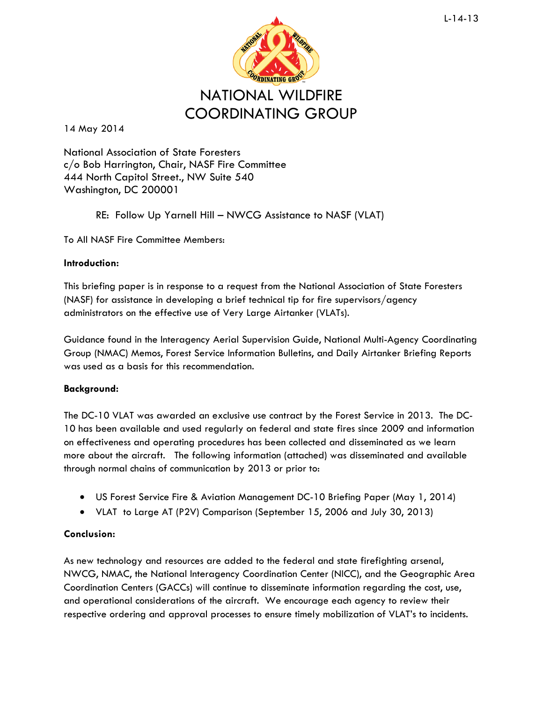

14 May 2014

National Association of State Foresters c/o Bob Harrington, Chair, NASF Fire Committee 444 North Capitol Street., NW Suite 540 Washington, DC 200001

RE: Follow Up Yarnell Hill – NWCG Assistance to NASF (VLAT)

To All NASF Fire Committee Members:

## **Introduction:**

This briefing paper is in response to a request from the National Association of State Foresters (NASF) for assistance in developing a brief technical tip for fire supervisors/agency administrators on the effective use of Very Large Airtanker (VLATs).

Guidance found in the Interagency Aerial Supervision Guide, National Multi-Agency Coordinating Group (NMAC) Memos, Forest Service Information Bulletins, and Daily Airtanker Briefing Reports was used as a basis for this recommendation.

## **Background:**

The DC-10 VLAT was awarded an exclusive use contract by the Forest Service in 2013. The DC-10 has been available and used regularly on federal and state fires since 2009 and information on effectiveness and operating procedures has been collected and disseminated as we learn more about the aircraft. The following information (attached) was disseminated and available through normal chains of communication by 2013 or prior to:

- US Forest Service Fire & Aviation Management DC-10 Briefing Paper (May 1, 2014)
- VLAT to Large AT (P2V) Comparison (September 15, 2006 and July 30, 2013)

## **Conclusion:**

As new technology and resources are added to the federal and state firefighting arsenal, NWCG, NMAC, the National Interagency Coordination Center (NICC), and the Geographic Area Coordination Centers (GACCs) will continue to disseminate information regarding the cost, use, and operational considerations of the aircraft. We encourage each agency to review their respective ordering and approval processes to ensure timely mobilization of VLAT's to incidents.